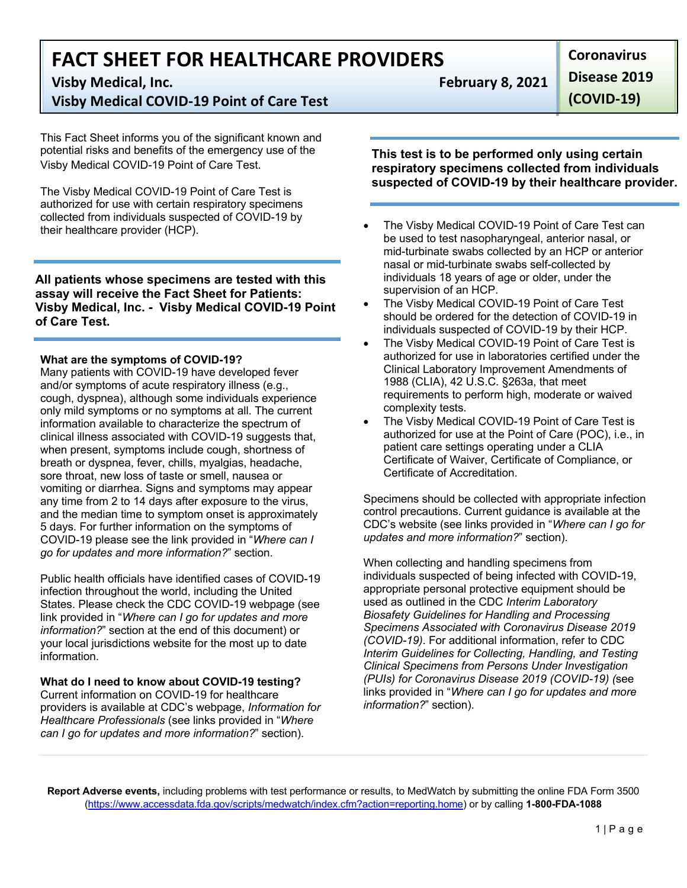# **FACT SHEET FOR HEALTHCARE PROVIDERS**

**Visby Medical, Inc. February 8, 2021**

## **Visby Medical COVID-19 Point of Care Test**

This Fact Sheet informs you of the significant known and potential risks and benefits of the emergency use of the Visby Medical COVID-19 Point of Care Test.

The Visby Medical COVID-19 Point of Care Test is authorized for use with certain respiratory specimens collected from individuals suspected of COVID-19 by their healthcare provider (HCP).

**All patients whose specimens are tested with this assay will receive the Fact Sheet for Patients: Visby Medical, Inc. - Visby Medical COVID-19 Point of Care Test.**

### **What are the symptoms of COVID-19?**

Many patients with COVID-19 have developed fever and/or symptoms of acute respiratory illness (e.g., cough, dyspnea), although some individuals experience only mild symptoms or no symptoms at all. The current information available to characterize the spectrum of clinical illness associated with COVID-19 suggests that, when present, symptoms include cough, shortness of breath or dyspnea, fever, chills, myalgias, headache, sore throat, new loss of taste or smell, nausea or vomiting or diarrhea. Signs and symptoms may appear any time from 2 to 14 days after exposure to the virus, and the median time to symptom onset is approximately 5 days. For further information on the symptoms of COVID-19 please see the link provided in "*Where can I go for updates and more information?*" section.

Public health officials have identified cases of COVID-19 infection throughout the world, including the United States. Please check the CDC COVID-19 webpage (see link provided in "*Where can I go for updates and more information?*" section at the end of this document) or your local jurisdictions website for the most up to date information.

### **What do I need to know about COVID-19 testing?**

Current information on COVID-19 for healthcare providers is available at CDC's webpage, *Information for Healthcare Professionals* (see links provided in "*Where can I go for updates and more information?*" section).

**Disease 2019 (COVID-19)**

**Coronavirus** 

**This test is to be performed only using certain respiratory specimens collected from individuals suspected of COVID-19 by their healthcare provider.**

- The Visby Medical COVID-19 Point of Care Test can be used to test nasopharyngeal, anterior nasal, or mid-turbinate swabs collected by an HCP or anterior nasal or mid-turbinate swabs self-collected by individuals 18 years of age or older, under the supervision of an HCP.
- The Visby Medical COVID-19 Point of Care Test should be ordered for the detection of COVID-19 in individuals suspected of COVID-19 by their HCP.
- The Visby Medical COVID-19 Point of Care Test is authorized for use in laboratories certified under the Clinical Laboratory Improvement Amendments of 1988 (CLIA), 42 U.S.C. §263a, that meet requirements to perform high, moderate or waived complexity tests.
- The Visby Medical COVID-19 Point of Care Test is authorized for use at the Point of Care (POC), i.e., in patient care settings operating under a CLIA Certificate of Waiver, Certificate of Compliance, or Certificate of Accreditation.

Specimens should be collected with appropriate infection control precautions. Current guidance is available at the CDC's website (see links provided in "*Where can I go for updates and more information?*" section).

When collecting and handling specimens from individuals suspected of being infected with COVID-19, appropriate personal protective equipment should be used as outlined in the CDC *Interim Laboratory Biosafety Guidelines for Handling and Processing Specimens Associated with Coronavirus Disease 2019 (COVID-19)*. For additional information, refer to CDC *Interim Guidelines for Collecting, Handling, and Testing Clinical Specimens from Persons Under Investigation (PUIs) for Coronavirus Disease 2019 (COVID-19) (*see links provided in "*Where can I go for updates and more information?*" section).

**Report Adverse events,** including problems with test performance or results, to MedWatch by submitting the online FDA Form 3500 (https://www.accessdata.fda.gov/scripts/medwatch/index.cfm?action=reporting.home) or by calling **1-800-FDA-1088**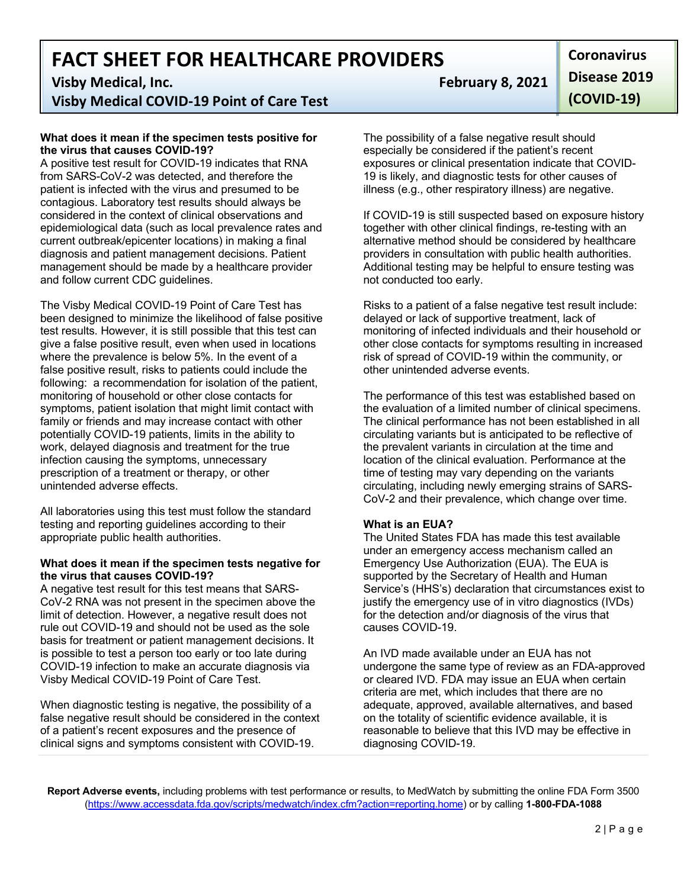**FACT SHEET FOR HEALTHCARE PROVIDERS**

**Visby Medical, Inc. February 8, 2021**

**Visby Medical COVID-19 Point of Care Test**

### **What does it mean if the specimen tests positive for the virus that causes COVID-19?**

A positive test result for COVID-19 indicates that RNA from SARS-CoV-2 was detected, and therefore the patient is infected with the virus and presumed to be contagious. Laboratory test results should always be considered in the context of clinical observations and epidemiological data (such as local prevalence rates and current outbreak/epicenter locations) in making a final diagnosis and patient management decisions. Patient management should be made by a healthcare provider and follow current CDC guidelines.

The Visby Medical COVID-19 Point of Care Test has been designed to minimize the likelihood of false positive test results. However, it is still possible that this test can give a false positive result, even when used in locations where the prevalence is below 5%. In the event of a false positive result, risks to patients could include the following: a recommendation for isolation of the patient, monitoring of household or other close contacts for symptoms, patient isolation that might limit contact with family or friends and may increase contact with other potentially COVID-19 patients, limits in the ability to work, delayed diagnosis and treatment for the true infection causing the symptoms, unnecessary prescription of a treatment or therapy, or other unintended adverse effects.

All laboratories using this test must follow the standard testing and reporting guidelines according to their appropriate public health authorities.

#### **What does it mean if the specimen tests negative for the virus that causes COVID-19?**

A negative test result for this test means that SARS-CoV-2 RNA was not present in the specimen above the limit of detection. However, a negative result does not rule out COVID-19 and should not be used as the sole basis for treatment or patient management decisions. It is possible to test a person too early or too late during COVID-19 infection to make an accurate diagnosis via Visby Medical COVID-19 Point of Care Test.

When diagnostic testing is negative, the possibility of a false negative result should be considered in the context of a patient's recent exposures and the presence of clinical signs and symptoms consistent with COVID-19.

**Coronavirus Disease 2019 (COVID-19)**

The possibility of a false negative result should especially be considered if the patient's recent exposures or clinical presentation indicate that COVID-19 is likely, and diagnostic tests for other causes of illness (e.g., other respiratory illness) are negative.

If COVID-19 is still suspected based on exposure history together with other clinical findings, re-testing with an alternative method should be considered by healthcare providers in consultation with public health authorities. Additional testing may be helpful to ensure testing was not conducted too early.

Risks to a patient of a false negative test result include: delayed or lack of supportive treatment, lack of monitoring of infected individuals and their household or other close contacts for symptoms resulting in increased risk of spread of COVID-19 within the community, or other unintended adverse events.

The performance of this test was established based on the evaluation of a limited number of clinical specimens. The clinical performance has not been established in all circulating variants but is anticipated to be reflective of the prevalent variants in circulation at the time and location of the clinical evaluation. Performance at the time of testing may vary depending on the variants circulating, including newly emerging strains of SARS-CoV-2 and their prevalence, which change over time.

### **What is an EUA?**

The United States FDA has made this test available under an emergency access mechanism called an Emergency Use Authorization (EUA). The EUA is supported by the Secretary of Health and Human Service's (HHS's) declaration that circumstances exist to justify the emergency use of in vitro diagnostics (IVDs) for the detection and/or diagnosis of the virus that causes COVID-19.

An IVD made available under an EUA has not undergone the same type of review as an FDA-approved or cleared IVD. FDA may issue an EUA when certain criteria are met, which includes that there are no adequate, approved, available alternatives, and based on the totality of scientific evidence available, it is reasonable to believe that this IVD may be effective in diagnosing COVID-19.

**Report Adverse events,** including problems with test performance or results, to MedWatch by submitting the online FDA Form 3500 (https://www.accessdata.fda.gov/scripts/medwatch/index.cfm?action=reporting.home) or by calling **1-800-FDA-1088**